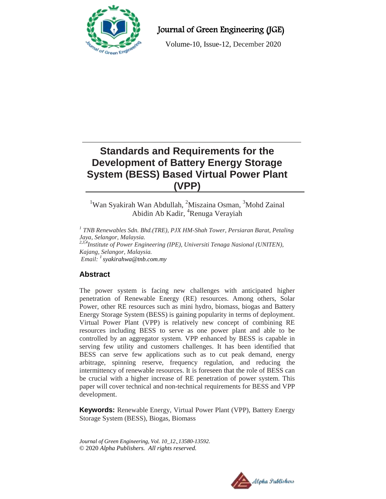

Journal of Green Engineering (JGE)

Volume-10, Issue-12, December 2020

# **Standards and Requirements for the Development of Battery Energy Storage System (BESS) Based Virtual Power Plant (VPP)**

<sup>1</sup>Wan Syakirah Wan Abdullah, <sup>2</sup>Miszaina Osman, <sup>3</sup>Mohd Zainal Abidin Ab Kadir, <sup>4</sup>Renuga Verayiah

*1 TNB Renewables Sdn. Bhd.(TRE), PJX HM-Shah Tower, Persiaran Barat, Petaling Jaya, Selangor, Malaysia. 2,3,4Institute of Power Engineering (IPE), Universiti Tenaga Nasional (UNITEN), Kajang, Selangor, Malaysia. Email: <sup>1</sup>[syakirahwa@tnb.com.my](mailto:syakirahwa@tnb.com.my)*

# **Abstract**

The power system is facing new challenges with anticipated higher penetration of Renewable Energy (RE) resources. Among others, Solar Power, other RE resources such as mini hydro, biomass, biogas and Battery Energy Storage System (BESS) is gaining popularity in terms of deployment. Virtual Power Plant (VPP) is relatively new concept of combining RE resources including BESS to serve as one power plant and able to be controlled by an aggregator system. VPP enhanced by BESS is capable in serving few utility and customers challenges. It has been identified that BESS can serve few applications such as to cut peak demand, energy arbitrage, spinning reserve, frequency regulation, and reducing the intermittency of renewable resources. It is foreseen that the role of BESS can be crucial with a higher increase of RE penetration of power system. This paper will cover technical and non-technical requirements for BESS and VPP development.

**Keywords:** Renewable Energy, Virtual Power Plant (VPP), Battery Energy Storage System (BESS), Biogas, Biomass

*Journal of Green Engineering, Vol. 10\_12. 13580-13592.* © 2020 *Alpha Publishers. All rights reserved.*

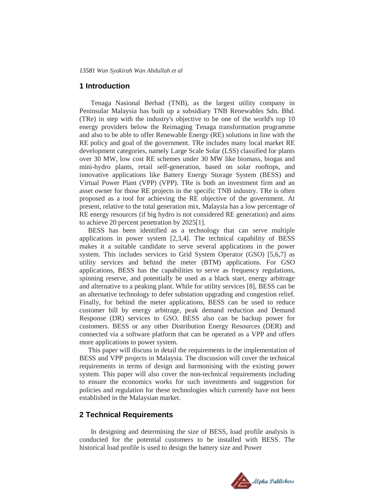#### **1 Introduction**

Tenaga Nasional Berhad (TNB), as the largest utility company in Peninsular Malaysia has built up a subsidiary TNB Renewables Sdn. Bhd. (TRe) in step with the industry's objective to be one of the world's top 10 energy providers below the Reimaging Tenaga transformation programme and also to be able to offer Renewable Energy (RE) solutions in line with the RE policy and goal of the government. TRe includes many local market RE development categories, namely Large Scale Solar (LSS) classified for plants over 30 MW, low cost RE schemes under 30 MW like biomass, biogas and mini-hydro plants, retail self-generation, based on solar rooftops, and innovative applications like Battery Energy Storage System (BESS) and Virtual Power Plant (VPP) (VPP). TRe is both an investment firm and an asset owner for those RE projects in the specific TNB industry. TRe is often proposed as a tool for achieving the RE objective of the government. At present, relative to the total generation mix, Malaysia has a low percentage of RE energy resources (if big hydro is not considered RE generation) and aims to achieve 20 percent penetration by 2025[1].

 BESS has been identified as a technology that can serve multiple applications in power system [2,3,4]. The technical capability of BESS makes it a suitable candidate to serve several applications in the power system. This includes services to Grid System Operator (GSO) [5,6,7] as utility services and behind the meter (BTM) applications. For GSO applications, BESS has the capabilities to serve as frequency regulations, spinning reserve, and potentially be used as a black start, energy arbitrage and alternative to a peaking plant. While for utility services [8], BESS can be an alternative technology to defer substation upgrading and congestion relief. Finally, for behind the meter applications, BESS can be used to reduce customer bill by energy arbitrage, peak demand reduction and Demand Response (DR) services to GSO. BESS also can be backup power for customers. BESS or any other Distribution Energy Resources (DER) and connected via a software platform that can be operated as a VPP and offers more applications to power system.

 This paper will discuss in detail the requirements in the implementation of BESS and VPP projects in Malaysia. The discussion will cover the technical requirements in terms of design and harmonising with the existing power system. This paper will also cover the non-technical requirements including to ensure the economics works for such investments and suggestion for policies and regulation for these technologies which currently have not been established in the Malaysian market.

## **2 Technical Requirements**

In designing and determining the size of BESS, load profile analysis is conducted for the potential customers to be installed with BESS. The historical load profile is used to design the battery size and Power

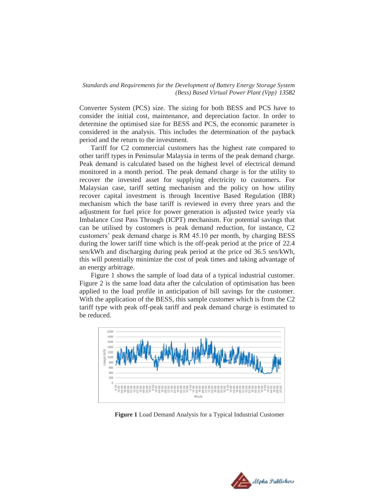Converter System (PCS) size. The sizing for both BESS and PCS have to consider the initial cost, maintenance, and depreciation factor. In order to determine the optimised size for BESS and PCS, the economic parameter is considered in the analysis. This includes the determination of the payback period and the return to the investment.

Tariff for C2 commercial customers has the highest rate compared to other tariff types in Peninsular Malaysia in terms of the peak demand charge. Peak demand is calculated based on the highest level of electrical demand monitored in a month period. The peak demand charge is for the utility to recover the invested asset for supplying electricity to customers. For Malaysian case, tariff setting mechanism and the policy on how utility recover capital investment is through Incentive Based Regulation (IBR) mechanism which the base tariff is reviewed in every three years and the adjustment for fuel price for power generation is adjusted twice yearly via Imbalance Cost Pass Through (ICPT) mechanism. For potential savings that can be utilised by customers is peak demand reduction, for instance, C2 customers' peak demand charge is RM 45.10 per month, by charging BESS during the lower tariff time which is the off-peak period at the price of 22.4 sen/kWh and discharging during peak period at the price od 36.5 sen/kWh, this will potentially minimize the cost of peak times and taking advantage of an energy arbitrage.

Figure 1 shows the sample of load data of a typical industrial customer. Figure 2 is the same load data after the calculation of optimisation has been applied to the load profile in anticipation of bill savings for the customer. With the application of the BESS, this sample customer which is from the C2 tariff type with peak off-peak tariff and peak demand charge is estimated to be reduced.



**Figure 1** Load Demand Analysis for a Typical Industrial Customer

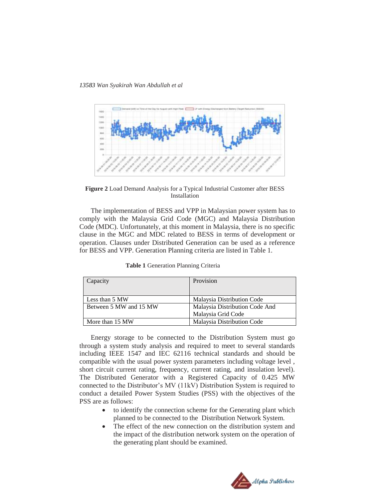*13583 Wan Syakirah Wan Abdullah et al* 



**Figure 2** Load Demand Analysis for a Typical Industrial Customer after BESS Installation

The implementation of BESS and VPP in Malaysian power system has to comply with the Malaysia Grid Code (MGC) and Malaysia Distribution Code (MDC). Unfortunately, at this moment in Malaysia, there is no specific clause in the MGC and MDC related to BESS in terms of development or operation. Clauses under Distributed Generation can be used as a reference for BESS and VPP. Generation Planning criteria are listed in Table 1.

| Capacity               | Provision                      |  |
|------------------------|--------------------------------|--|
|                        |                                |  |
| Less than 5 MW         | Malaysia Distribution Code     |  |
| Between 5 MW and 15 MW | Malaysia Distribution Code And |  |
|                        | Malaysia Grid Code             |  |
| More than 15 MW        | Malaysia Distribution Code     |  |

**Table 1** Generation Planning Criteria

Energy storage to be connected to the Distribution System must go through a system study analysis and required to meet to several standards including IEEE 1547 and IEC 62116 technical standards and should be compatible with the usual power system parameters including voltage level , short circuit current rating, frequency, current rating, and insulation level). The Distributed Generator with a Registered Capacity of 0.425 MW connected to the Distributor's MV (11kV) Distribution System is required to conduct a detailed Power System Studies (PSS) with the objectives of the PSS are as follows:

- to identify the connection scheme for the Generating plant which planned to be connected to the Distribution Network System.
- The effect of the new connection on the distribution system and the impact of the distribution network system on the operation of the generating plant should be examined.

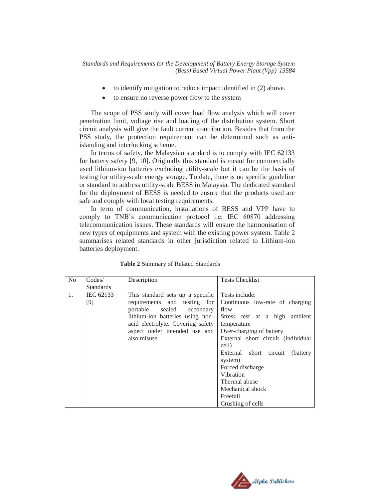- to identify mitigation to reduce impact identified in (2) above.
- to ensure no reverse power flow to the system

The scope of PSS study will cover load flow analysis which will cover penetration limit, voltage rise and loading of the distribution system. Short circuit analysis will give the fault current contribution. Besides that from the PSS study, the protection requirement can be determined such as antiislanding and interlocking scheme.

In terms of safety, the Malaysian standard is to comply with IEC 62133 for battery safety [9, 10]. Originally this standard is meant for commercially used lithium-ion batteries excluding utility-scale but it can be the basis of testing for utility-scale energy storage. To date, there is no specific guideline or standard to address utility-scale BESS in Malaysia. The dedicated standard for the deployment of BESS is needed to ensure that the products used are safe and comply with local testing requirements.

In term of communication, installations of BESS and VPP have to comply to TNB's communication protocol i.e: IEC 60870 addressing telecommunication issues. These standards will ensure the harmonisation of new types of equipments and system with the existing power system. Table 2 summarises related standards in other jurisdiction related to Lithium-ion batteries deployment.

| No | $\text{Codes}/$  | Description                                                                                                                                                                                                             | <b>Tests Checklist</b>                                                                                                                                                                                                                                                                                                   |  |
|----|------------------|-------------------------------------------------------------------------------------------------------------------------------------------------------------------------------------------------------------------------|--------------------------------------------------------------------------------------------------------------------------------------------------------------------------------------------------------------------------------------------------------------------------------------------------------------------------|--|
|    | <b>Standards</b> |                                                                                                                                                                                                                         |                                                                                                                                                                                                                                                                                                                          |  |
| 1. | IEC 62133<br>[9] | This standard sets up a specific<br>requirements and testing for<br>portable sealed secondary<br>lithium-ion batteries using non-<br>acid electrolyte. Covering safety<br>aspect under intended use and<br>also misuse. | Tests include:<br>Continuous low-rate of charging<br>flow<br>Stress test at a high ambient<br>temperature<br>Over-charging of battery<br>External short circuit (individual<br>cell)<br>External short circuit<br>(battery)<br>system)<br>Forced discharge<br>Vibration<br>Thermal abuse<br>Mechanical shock<br>Freefall |  |
|    |                  |                                                                                                                                                                                                                         | Crushing of cells                                                                                                                                                                                                                                                                                                        |  |

**Table 2** Summary of Related Standards

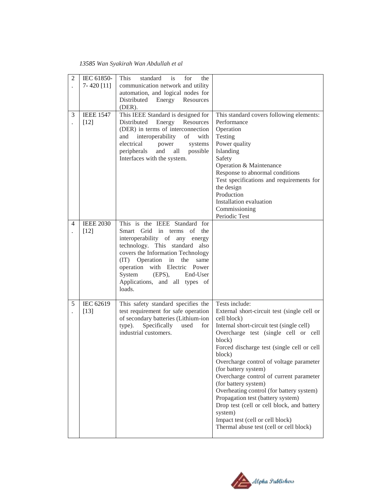### *13585 Wan Syakirah Wan Abdullah et al*

| $\overline{2}$ | IEC 61850-<br>$7 - 420$ [11] | This<br>standard<br>is<br>for<br>the<br>communication network and utility<br>automation, and logical nodes for<br>Distributed<br>Energy Resources<br>(DER).                                                                                                                                                              |                                                                                                                                                                                                                                                                                                                                                                                                                                                                                                                                                                                                    |
|----------------|------------------------------|--------------------------------------------------------------------------------------------------------------------------------------------------------------------------------------------------------------------------------------------------------------------------------------------------------------------------|----------------------------------------------------------------------------------------------------------------------------------------------------------------------------------------------------------------------------------------------------------------------------------------------------------------------------------------------------------------------------------------------------------------------------------------------------------------------------------------------------------------------------------------------------------------------------------------------------|
| 3              | <b>IEEE 1547</b><br>$[12]$   | This IEEE Standard is designed for<br>Distributed<br>Energy<br>Resources<br>(DER) in terms of interconnection<br>and interoperability<br>of<br>with<br>electrical power<br>systems<br>and<br>peripherals<br>all<br>possible<br>Interfaces with the system.                                                               | This standard covers following elements:<br>Performance<br>Operation<br>Testing<br>Power quality<br>Islanding<br>Safety<br>Operation & Maintenance<br>Response to abnormal conditions<br>Test specifications and requirements for<br>the design<br>Production<br>Installation evaluation<br>Commissioning<br>Periodic Test                                                                                                                                                                                                                                                                         |
| 4              | <b>IEEE 2030</b><br>$[12]$   | This is the IEEE Standard for<br>Smart Grid in terms of the<br>interoperability of any energy<br>technology. This standard also<br>covers the Information Technology<br>(IT) Operation in<br>the<br>same<br>operation with Electric Power<br>$(EPS)$ ,<br>System<br>End-User<br>Applications, and all types of<br>loads. |                                                                                                                                                                                                                                                                                                                                                                                                                                                                                                                                                                                                    |
| 5              | IEC 62619<br>$[13]$          | This safety standard specifies the<br>test requirement for safe operation<br>of secondary batteries (Lithium-ion<br>Specifically<br>type).<br>used<br>for<br>industrial customers.                                                                                                                                       | Tests include:<br>External short-circuit test (single cell or<br>cell block)<br>Internal short-circuit test (single cell)<br>Overcharge test (single cell or cell<br>block)<br>Forced discharge test (single cell or cell<br>block)<br>Overcharge control of voltage parameter<br>(for battery system)<br>Overcharge control of current parameter<br>(for battery system)<br>Overheating control (for battery system)<br>Propagation test (battery system)<br>Drop test (cell or cell block, and battery<br>system)<br>Impact test (cell or cell block)<br>Thermal abuse test (cell or cell block) |

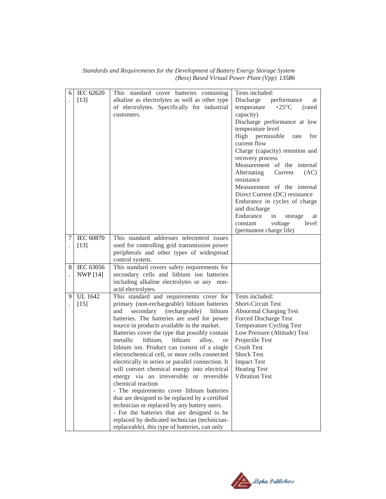| Standards and Requirements for the Development of Battery Energy Storage System |                                              |  |  |
|---------------------------------------------------------------------------------|----------------------------------------------|--|--|
|                                                                                 | (Bess) Based Virtual Power Plant (Vpp) 13586 |  |  |

| 6   | IEC 62620        | This standard cover batteries containing                     | Tests included:                          |
|-----|------------------|--------------------------------------------------------------|------------------------------------------|
|     | $[13]$           | alkaline as electrolytes as well as other type               | Discharge<br>performance<br>at           |
|     |                  | of electrolytes. Specifically for industrial                 | temperature<br>$+25^{\circ}C$<br>(rated) |
|     |                  | customers.                                                   | capacity)                                |
|     |                  |                                                              | Discharge performance at low             |
|     |                  |                                                              | temperature level                        |
|     |                  |                                                              | High permissible<br>for<br>rate          |
|     |                  |                                                              | current flow                             |
|     |                  |                                                              | Charge (capacity) retention and          |
|     |                  |                                                              | recovery process                         |
|     |                  |                                                              | Measurement of the internal              |
|     |                  |                                                              | Alternating<br>Current<br>(AC)           |
|     |                  |                                                              | resistance                               |
|     |                  |                                                              | Measurement of the internal              |
|     |                  |                                                              | Direct Current (DC) resistance           |
|     |                  |                                                              | Endurance in cycles of charge            |
|     |                  |                                                              | and discharge                            |
|     |                  |                                                              | Endurance<br>in<br>storage<br>at         |
|     |                  |                                                              | voltage<br>level<br>constant             |
|     |                  |                                                              | (permanent charge life)                  |
| 7 I | <b>IEC 60870</b> | This standard addresses telecontrol issues                   |                                          |
|     | $[13]$           | used for controlling grid transmission power                 |                                          |
|     |                  | peripherals and other types of widespread<br>control system. |                                          |
| 8   | IEC 63056        | This standard covers safety requirements for                 |                                          |
|     | <b>NWP</b> [14]  | secondary cells and lithium ion batteries                    |                                          |
|     |                  | including alkaline electrolytes or any non-                  |                                          |
|     |                  | acid electrolytes.                                           |                                          |
| 9   | <b>UL</b> 1642   | This standard and requirements cover for                     | Tests included:                          |
|     | $[15]$           | primary (non-rechargeable) lithium batteries                 | Short-Circuit Test                       |
|     |                  | secondary (rechargeable) lithium<br>and                      | <b>Abnormal Charging Test</b>            |
|     |                  | batteries. The batteries are used for power                  | Forced Discharge Test                    |
|     |                  | source in products available in the market.                  | Temperature Cycling Test                 |
|     |                  | Batteries cover the type that possibly contain               | Low Pressure (Altitude) Test             |
|     |                  | metallic<br>lithium,<br>lithium<br>alloy,<br><b>or</b>       | Projectile Test                          |
|     |                  | lithium ion. Product can consist of a single                 | <b>Crush Test</b>                        |
|     |                  | electrochemical cell, or more cells connected                | <b>Shock Test</b>                        |
|     |                  | electrically in series or parallel connection. It            | <b>Impact Test</b>                       |
|     |                  | will convert chemical energy into electrical                 | <b>Heating Test</b>                      |
|     |                  | energy via an irreversible or reversible                     | <b>Vibration Test</b>                    |
|     |                  | chemical reaction                                            |                                          |
|     |                  | - The requirements cover lithium batteries                   |                                          |
|     |                  | that are designed to be replaced by a certified              |                                          |
|     |                  | technician or replaced by any battery users.                 |                                          |
|     |                  | - For the batteries that are designed to be                  |                                          |
|     |                  | replaced by dedicated technician (technician-                |                                          |
|     |                  | replaceable), this type of batteries, can only               |                                          |

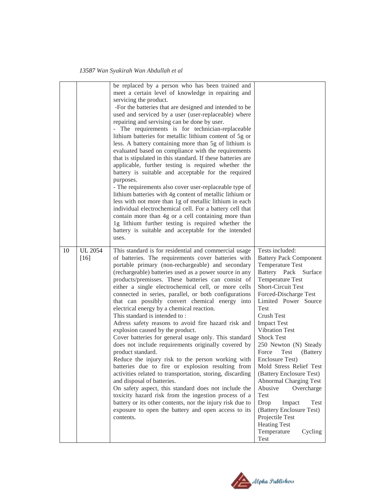|    |                          | be replaced by a person who has been trained and<br>meet a certain level of knowledge in repairing and<br>servicing the product.<br>-For the batteries that are designed and intended to be<br>used and serviced by a user (user-replaceable) where<br>repairing and servising can be done by user.<br>- The requirements is for technician-replaceable<br>lithium batteries for metallic lithium content of 5g or<br>less. A battery containing more than 5g of lithium is<br>evaluated based on compliance with the requirements<br>that is stipulated in this standard. If these batteries are<br>applicable, further testing is required whether the<br>battery is suitable and acceptable for the required<br>purposes.<br>- The requirements also cover user-replaceable type of<br>lithium batteries with 4g content of metallic lithium or<br>less with not more than 1g of metallic lithium in each<br>individual electrochemical cell. For a battery cell that<br>contain more than 4g or a cell containing more than<br>1g lithium further testing is required whether the<br>battery is suitable and acceptable for the intended<br>uses.                                                                   |                                                                                                                                                                                                                                                                                                                                                                                                                                                                                                                                                                                                                              |
|----|--------------------------|-------------------------------------------------------------------------------------------------------------------------------------------------------------------------------------------------------------------------------------------------------------------------------------------------------------------------------------------------------------------------------------------------------------------------------------------------------------------------------------------------------------------------------------------------------------------------------------------------------------------------------------------------------------------------------------------------------------------------------------------------------------------------------------------------------------------------------------------------------------------------------------------------------------------------------------------------------------------------------------------------------------------------------------------------------------------------------------------------------------------------------------------------------------------------------------------------------------------------|------------------------------------------------------------------------------------------------------------------------------------------------------------------------------------------------------------------------------------------------------------------------------------------------------------------------------------------------------------------------------------------------------------------------------------------------------------------------------------------------------------------------------------------------------------------------------------------------------------------------------|
| 10 | <b>UL 2054</b><br>$[16]$ | This standard is for residential and commercial usage<br>of batteries. The requirements cover batteries with<br>portable primary (non-rechargeable) and secondary<br>(rechargeable) batteries used as a power source in any<br>products/premisses. These batteries can consist of<br>either a single electrochemical cell, or more cells<br>connected in series, parallel, or both configurations<br>that can possibly convert chemical energy into<br>electrical energy by a chemical reaction.<br>This standard is intended to:<br>Adress safety reasons to avoid fire hazard risk and<br>explosion caused by the product.<br>Cover batteries for general usage only. This standard<br>does not include requirements originally covered by<br>product standard.<br>Reduce the injury risk to the person working with<br>batteries due to fire or explosion resulting from<br>activities related to transportation, storing, discarding<br>and disposal of batteries.<br>On safety aspect, this standard does not include the<br>toxicity hazard risk from the ingestion process of a<br>battery or its other contents, nor the injury risk due to<br>exposure to open the battery and open access to its<br>contents. | Tests included:<br><b>Battery Pack Component</b><br>Temperature Test<br>Battery Pack Surface<br><b>Temperature Test</b><br>Short-Circuit Test<br>Forced-Discharge Test<br>Limited Power Source<br><b>Test</b><br>Crush Test<br><b>Impact Test</b><br>Vibration Test<br><b>Shock Test</b><br>250 Newton (N) Steady<br>Force<br>Test<br>(Battery<br>Enclosure Test)<br>Mold Stress Relief Test<br>(Battery Enclosure Test)<br><b>Abnormal Charging Test</b><br>Abusive<br>Overcharge<br>Test<br>Drop<br>Impact<br>Test<br>(Battery Enclosure Test)<br>Projectile Test<br><b>Heating Test</b><br>Temperature<br>Cycling<br>Test |

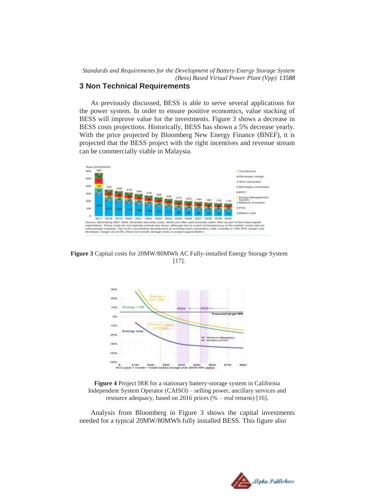# **3 Non Technical Requirements**

As previously discussed, BESS is able to serve several applications for the power system. In order to ensure positive economics, value stacking of BESS will improve value for the investments. Figure 3 shows a decrease in BESS costs projections. Historically, BESS has shown a 5% decrease yearly. With the price projected by Bloomberg New Energy Finance (BNEF), it is projected that the BESS project with the right incentives and revenue stream can be commercially viable in Malaysia.



**Figure 3** Capital costs for 20MW/80MWh AC Fully-installed Energy Storage System [17].



**Figure 4** Project IRR for a stationary battery-storage system in California Independent System Operator (CAISO) – selling power, ancillary services and resource adequacy, based on 2016 prices (% – real returns) [16].

Analysis from Bloomberg in Figure 3 shows the capital investments needed for a typical 20MW/80MWh fully installed BESS. This figure also

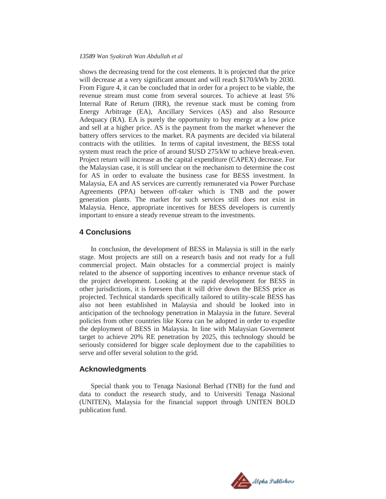#### *13589 Wan Syakirah Wan Abdullah et al*

shows the decreasing trend for the cost elements. It is projected that the price will decrease at a very significant amount and will reach \$170/kWh by 2030. From Figure 4, it can be concluded that in order for a project to be viable, the revenue stream must come from several sources. To achieve at least 5% Internal Rate of Return (IRR), the revenue stack must be coming from Energy Arbitrage (EA), Ancillary Services (AS) and also Resource Adequacy (RA). EA is purely the opportunity to buy energy at a low price and sell at a higher price. AS is the payment from the market whenever the battery offers services to the market. RA payments are decided via bilateral contracts with the utilities. In terms of capital investment, the BESS total system must reach the price of around \$USD 275/kW to achieve break-even. Project return will increase as the capital expenditure (CAPEX) decrease. For the Malaysian case, it is still unclear on the mechanism to determine the cost for AS in order to evaluate the business case for BESS investment. In Malaysia, EA and AS services are currently remunerated via Power Purchase Agreements (PPA) between off-taker which is TNB and the power generation plants. The market for such services still does not exist in Malaysia. Hence, appropriate incentives for BESS developers is currently important to ensure a steady revenue stream to the investments.

### **4 Conclusions**

In conclusion, the development of BESS in Malaysia is still in the early stage. Most projects are still on a research basis and not ready for a full commercial project. Main obstacles for a commercial project is mainly related to the absence of supporting incentives to enhance revenue stack of the project development. Looking at the rapid development for BESS in other jurisdictions, it is foreseen that it will drive down the BESS price as projected. Technical standards specifically tailored to utility-scale BESS has also not been established in Malaysia and should be looked into in anticipation of the technology penetration in Malaysia in the future. Several policies from other countries like Korea can be adopted in order to expedite the deployment of BESS in Malaysia. In line with Malaysian Government target to achieve 20% RE penetration by 2025, this technology should be seriously considered for bigger scale deployment due to the capabilities to serve and offer several solution to the grid.

#### **Acknowledgments**

Special thank you to Tenaga Nasional Berhad (TNB) for the fund and data to conduct the research study, and to Universiti Tenaga Nasional (UNITEN), Malaysia for the financial support through UNITEN BOLD publication fund.

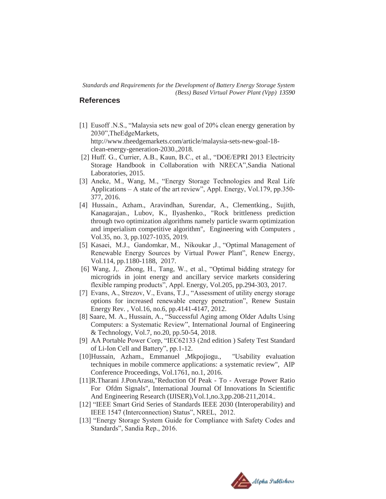# **References**

- [1] Eusoff .N.S., "Malaysia sets new goal of 20% clean energy generation by 2030",TheEdgeMarkets, http://www.theedgemarkets.com/article/malaysia-sets-new-goal-18 clean-energy-generation-2030.,2018.
- [2] Huff. G., Currier, A.B., Kaun, B.C., et al., "DOE/EPRI 2013 Electricity Storage Handbook in Collaboration with NRECA",Sandia National Laboratories, 2015.
- [3] Aneke, M., Wang, M., "Energy Storage Technologies and Real Life Applications – A state of the art review", Appl. Energy, Vol.179, pp.350- 377, 2016.
- [4] Hussain., Azham., Aravindhan, Surendar, A., Clementking., Sujith, Kanagarajan., Lubov, K., Ilyashenko., "Rock brittleness prediction through two optimization algorithms namely particle swarm optimization and imperialism competitive algorithm", Engineering with Computers , Vol.35, no. 3, pp.1027-1035, 2019.
- [5] Kasaei, M.J., Gandomkar, M., Nikoukar ,J., "Optimal Management of Renewable Energy Sources by Virtual Power Plant", Renew Energy, Vol.114, pp.1180-1188, 2017.
- [6] Wang, J,. Zhong, H., Tang, W., et al., "Optimal bidding strategy for microgrids in joint energy and ancillary service markets considering flexible ramping products", Appl. Energy, Vol.205, pp.294-303, 2017.
- [7] Evans, A., Strezov, V., Evans, T.J., "Assessment of utility energy storage options for increased renewable energy penetration", Renew Sustain Energy Rev. , Vol.16, no.6, pp.4141-4147, 2012.
- [8] Saare, M. A., Hussain, A., "Successful Aging among Older Adults Using Computers: a Systematic Review", International Journal of Engineering & Technology, Vol.7, no.20, pp.50-54, 2018.
- [9] AA Portable Power Corp, "IEC62133 (2nd edition ) Safety Test Standard of Li-Ion Cell and Battery", pp.1-12.
- [10]Hussain, Azham., Emmanuel ,Mkpojiogu., "Usability evaluation techniques in mobile commerce applications: a systematic review", AIP Conference Proceedings, Vol.1761, no.1, 2016.
- [11]R.Tharani J.PonArasu,"Reduction Of Peak To Average Power Ratio For Ofdm Signals", International Journal Of Innovations In Scientific And Engineering Research (IJISER),Vol.1,no.3,pp.208-211,2014..
- [12] "IEEE Smart Grid Series of Standards IEEE 2030 (Interoperability) and IEEE 1547 (Interconnection) Status", NREL, 2012.
- [13] "Energy Storage System Guide for Compliance with Safety Codes and Standards", Sandia Rep., 2016.

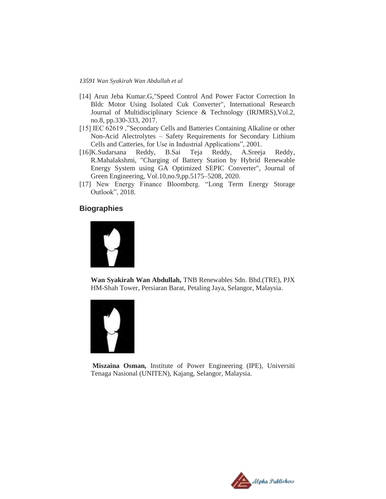- [14] Arun Jeba Kumar.G,"Speed Control And Power Factor Correction In Bldc Motor Using Isolated Cuk Converter", International Research Journal of Multidisciplinary Science & Technology (IRJMRS),Vol.2, no.8, pp.330-333, 2017.
- [15] IEC 62619 ,"Secondary Cells and Batteries Containing Alkaline or other Non-Acid Alectrolytes – Safety Requirements for Secondary Lithium Cells and Catteries, for Use in Industrial Applications", 2001.
- [16]K.Sudarsana Reddy, B.Sai Teja Reddy, A.Sreeja Reddy, R.Mahalakshmi, "Charging of Battery Station by Hybrid Renewable Energy System using GA Optimized SEPIC Converter", Journal of Green Engineering, Vol.10,no.9,pp.5175–5208, 2020.
- [17] New Energy Finance Bloomberg. "Long Term Energy Storage Outlook", 2018.

## **Biographies**



**Wan Syakirah Wan Abdullah,** TNB Renewables Sdn. Bhd.(TRE), PJX HM-Shah Tower, Persiaran Barat, Petaling Jaya, Selangor, Malaysia.



**Miszaina Osman,** Institute of Power Engineering (IPE), Universiti Tenaga Nasional (UNITEN), Kajang, Selangor, Malaysia.